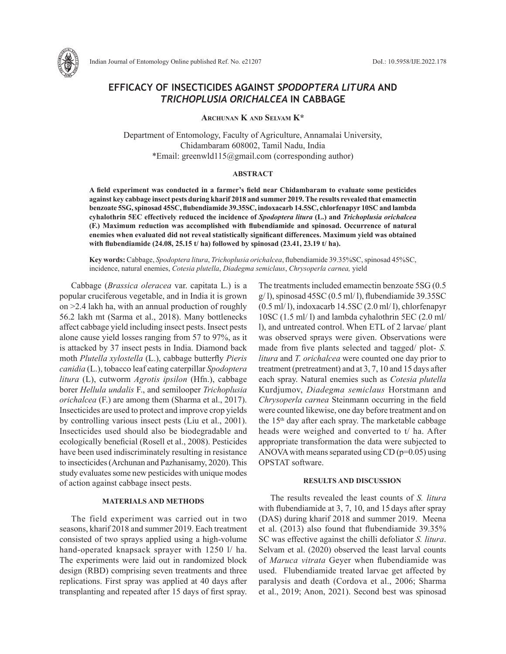

# **EFFICACY OF INSECTICIDES AGAINST** *SPODOPTERA LITURA* **AND**  *TRICHOPLUSIA ORICHALCEA* **IN CABBAGE**

**Archunan K and Selvam K\***

Department of Entomology, Faculty of Agriculture, Annamalai University, Chidambaram 608002, Tamil Nadu, India \*Email: greenwld115@gmail.com (corresponding author)

## **ABSTRACT**

**A field experiment was conducted in a farmer's field near Chidambaram to evaluate some pesticides against key cabbage insect pests during kharif 2018 and summer 2019. The results revealed that emamectin benzoate 5SG, spinosad 45SC, flubendiamide 39.35SC, indoxacarb 14.5SC, chlorfenapyr 10SC and lambda cyhalothrin 5EC effectively reduced the incidence of** *Spodoptera litura* **(L.) and** *Trichoplusia orichalcea*  **(F.) Maximum reduction was accomplished with flubendiamide and spinosad. Occurrence of natural enemies when evaluated did not reveal statistically significant differences. Maximum yield was obtained with flubendiamide (24.08, 25.15 t/ ha) followed by spinosad (23.41, 23.19 t/ ha).** 

**Key words:** Cabbage, *Spodoptera litura*, *Trichoplusia orichalcea*, flubendiamide 39.35%SC, spinosad 45%SC, incidence, natural enemies, *Cotesia plutella*, *Diadegma semiclaus*, *Chrysoperla carnea,* yield

Cabbage (*Brassica oleracea* var. capitata L.) is a popular cruciferous vegetable, and in India it is grown on >2.4 lakh ha, with an annual production of roughly 56.2 lakh mt (Sarma et al., 2018). Many bottlenecks affect cabbage yield including insect pests. Insect pests alone cause yield losses ranging from 57 to 97%, as it is attacked by 37 insect pests in India. Diamond back moth *Plutella xylostella* (L.), cabbage butterfly *Pieris canidia* (L.), tobacco leaf eating caterpillar *Spodoptera litura* (L), cutworm *Agrotis ipsilon* (Hfn.), cabbage borer *Hellula undalis* F., and semilooper *Trichoplusia orichalcea* (F.) are among them (Sharma et al., 2017). Insecticides are used to protect and improve crop yields by controlling various insect pests (Liu et al., 2001). Insecticides used should also be biodegradable and ecologically beneficial (Rosell et al., 2008). Pesticides have been used indiscriminately resulting in resistance to insecticides (Archunan and Pazhanisamy, 2020). This study evaluates some new pesticides with unique modes of action against cabbage insect pests.

### **MATERIALS AND METHODS**

The field experiment was carried out in two seasons, kharif 2018 and summer 2019. Each treatment consisted of two sprays applied using a high-volume hand-operated knapsack sprayer with 1250 l/ ha. The experiments were laid out in randomized block design (RBD) comprising seven treatments and three replications. First spray was applied at 40 days after transplanting and repeated after 15 days of first spray. The treatments included emamectin benzoate 5SG (0.5  $g(1)$ , spinosad 45SC (0.5 ml/1), flubendiamide 39.35SC (0.5 ml/ l), indoxacarb 14.5SC (2.0 ml/ l), chlorfenapyr 10SC (1.5 ml/ l) and lambda cyhalothrin 5EC (2.0 ml/ l), and untreated control. When ETL of 2 larvae/ plant was observed sprays were given. Observations were made from five plants selected and tagged/ plot- *S. litura* and *T. orichalcea* were counted one day prior to treatment (pretreatment) and at 3, 7, 10 and 15 days after each spray. Natural enemies such as *Cotesia plutella*  Kurdjumov, *Diadegma semiclaus* Horstmann and *Chrysoperla carnea* Steinmann occurring in the field were counted likewise, one day before treatment and on the 15th day after each spray. The marketable cabbage heads were weighed and converted to t/ ha. After appropriate transformation the data were subjected to ANOVA with means separated using  $CD$  ( $p=0.05$ ) using OPSTAT software.

### **RESULTS AND DISCUSSION**

The results revealed the least counts of *S. litura*  with flubendiamide at 3, 7, 10, and 15 days after spray (DAS) during kharif 2018 and summer 2019. Meena et al. (2013) also found that flubendiamide 39.35% SC was effective against the chilli defoliator *S. litura*. Selvam et al. (2020) observed the least larval counts of *Maruca vitrata* Geyer when flubendiamide was used. Flubendiamide treated larvae get affected by paralysis and death (Cordova et al., 2006; Sharma et al., 2019; Anon, 2021). Second best was spinosad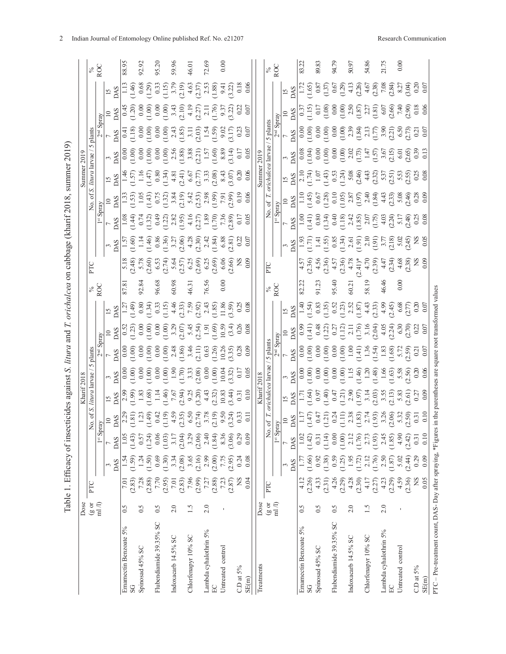| l                             |   |
|-------------------------------|---|
|                               |   |
| l                             |   |
|                               |   |
|                               |   |
|                               |   |
|                               |   |
|                               |   |
|                               |   |
|                               |   |
|                               |   |
|                               |   |
| $\overline{\phantom{a}}$      |   |
| i                             |   |
|                               |   |
| ہ<br>ہ                        |   |
|                               |   |
|                               |   |
| l                             |   |
|                               |   |
|                               |   |
|                               |   |
|                               |   |
|                               |   |
| $\frac{1}{2}$<br>ĺ            | j |
| ;                             |   |
|                               |   |
|                               |   |
|                               |   |
|                               |   |
| s<br>S                        |   |
|                               |   |
|                               |   |
|                               |   |
|                               |   |
|                               |   |
|                               |   |
|                               |   |
|                               |   |
|                               |   |
|                               |   |
|                               |   |
|                               |   |
|                               |   |
|                               |   |
|                               |   |
| Ę<br>l                        |   |
| $\sim$                        |   |
|                               |   |
| $\frac{1}{2}$                 |   |
|                               |   |
|                               |   |
|                               |   |
|                               |   |
|                               |   |
|                               |   |
|                               |   |
|                               |   |
|                               |   |
|                               |   |
|                               |   |
|                               |   |
|                               |   |
|                               | ) |
|                               |   |
|                               |   |
|                               |   |
|                               |   |
|                               |   |
|                               |   |
|                               |   |
|                               |   |
|                               |   |
|                               |   |
|                               |   |
|                               |   |
|                               |   |
|                               |   |
|                               |   |
|                               |   |
|                               |   |
| .<br>גורים                    |   |
|                               |   |
|                               |   |
| ξ                             |   |
| ŗ                             |   |
|                               |   |
|                               |   |
|                               |   |
|                               |   |
| l                             |   |
|                               |   |
| Ę<br>$\overline{a}$<br>Ę<br>í |   |

|                                                            | Dose  |                                |                  |                                                                                                                                                                                                                                                                             |                                                                                                                                                                                                                                                                                                                                                |          |                                                                                                                                                                                                                                                                         |                                              |                                                                                                                                                                                                                                                                                                                             |                 |                                                                                                                                                                                                                                                                                                               |                                                                                                                                                                                                                                                                                                                      |  |                                                                                                                                                                                                                                                                                                                                                                                                         |                                                                                                                                                                                                                                                                                                                                                                                                                        |                                                                                                                                                                                                                                                                                                               |                                                                                                                                                                                                                                                                                                                                       |               |
|------------------------------------------------------------|-------|--------------------------------|------------------|-----------------------------------------------------------------------------------------------------------------------------------------------------------------------------------------------------------------------------------------------------------------------------|------------------------------------------------------------------------------------------------------------------------------------------------------------------------------------------------------------------------------------------------------------------------------------------------------------------------------------------------|----------|-------------------------------------------------------------------------------------------------------------------------------------------------------------------------------------------------------------------------------------------------------------------------|----------------------------------------------|-----------------------------------------------------------------------------------------------------------------------------------------------------------------------------------------------------------------------------------------------------------------------------------------------------------------------------|-----------------|---------------------------------------------------------------------------------------------------------------------------------------------------------------------------------------------------------------------------------------------------------------------------------------------------------------|----------------------------------------------------------------------------------------------------------------------------------------------------------------------------------------------------------------------------------------------------------------------------------------------------------------------|--|---------------------------------------------------------------------------------------------------------------------------------------------------------------------------------------------------------------------------------------------------------------------------------------------------------------------------------------------------------------------------------------------------------|------------------------------------------------------------------------------------------------------------------------------------------------------------------------------------------------------------------------------------------------------------------------------------------------------------------------------------------------------------------------------------------------------------------------|---------------------------------------------------------------------------------------------------------------------------------------------------------------------------------------------------------------------------------------------------------------------------------------------------------------|---------------------------------------------------------------------------------------------------------------------------------------------------------------------------------------------------------------------------------------------------------------------------------------------------------------------------------------|---------------|
|                                                            | (801) | PTC                            |                  |                                                                                                                                                                                                                                                                             | No. of                                                                                                                                                                                                                                                                                                                                         | litura   | larvae                                                                                                                                                                                                                                                                  | plants                                       |                                                                                                                                                                                                                                                                                                                             | $rac{8}{20}$    | PTC                                                                                                                                                                                                                                                                                                           |                                                                                                                                                                                                                                                                                                                      |  |                                                                                                                                                                                                                                                                                                                                                                                                         | plants                                                                                                                                                                                                                                                                                                                                                                                                                 |                                                                                                                                                                                                                                                                                                               |                                                                                                                                                                                                                                                                                                                                       | $rac{8}{200}$ |
|                                                            | m1/l  |                                |                  | $1^{st}$ S <sub>I</sub>                                                                                                                                                                                                                                                     |                                                                                                                                                                                                                                                                                                                                                |          |                                                                                                                                                                                                                                                                         |                                              |                                                                                                                                                                                                                                                                                                                             |                 |                                                                                                                                                                                                                                                                                                               |                                                                                                                                                                                                                                                                                                                      |  |                                                                                                                                                                                                                                                                                                                                                                                                         |                                                                                                                                                                                                                                                                                                                                                                                                                        |                                                                                                                                                                                                                                                                                                               |                                                                                                                                                                                                                                                                                                                                       |               |
|                                                            |       |                                | DAS              | DAS                                                                                                                                                                                                                                                                         |                                                                                                                                                                                                                                                                                                                                                |          | $\begin{array}{r rrrr} 0.88 & 0.000 & 0.000 & 0.000 & 0.000 & 0.000 & 0.000 & 0.000 & 0.000 & 0.000 & 0.000 & 0.000 & 0.000 & 0.000 & 0.000 & 0.000 & 0.000 & 0.000 & 0.000 & 0.000 & 0.000 & 0.000 & 0.000 & 0.000 & 0.000 & 0.000 & 0.000 & 0.000 & 0.000 & 0.000 & $ |                                              | $\begin{array}{r} 15 \\ 208 \\ 1.77 \\ 0.80 \\ 0.31 \\ 0.31 \\ 0.33 \\ 0.43 \\ 0.54 \\ 0.53 \\ 0.54 \\ 0.53 \\ 0.54 \\ 0.55 \\ 0.56 \\ 0.57 \\ 0.58 \\ 0.59 \\ 0.59 \\ 0.59 \\ 0.59 \\ 0.59 \\ 0.59 \\ 0.59 \\ 0.59 \\ 0.59 \\ 0.59 \\ 0.59 \\ 0.59 \\ 0.59 \\ 0.59 \\ 0.59 \\ 0.59 \\ 0.59 \\ 0.59 \\ 0.59 \\$             |                 |                                                                                                                                                                                                                                                                                                               | $\begin{array}{r} 3.88 \\ 2.48 \\ 2.49 \\ 2.40 \\ 2.50 \\ 2.51 \\ 2.51 \\ 2.52 \\ 2.53 \\ 2.54 \\ 2.55 \\ 2.57 \\ 2.58 \\ 2.59 \\ 2.51 \\ 2.52 \\ 2.53 \\ 2.54 \\ 2.55 \\ 2.57 \\ 2.57 \\ 2.57 \\ 2.57 \\ 2.57 \\ 2.57 \\ 2.57 \\ 2.57 \\ 2.57 \\ 2.57 \\ 2.57 \\ 2.57 \\ 2.57 \\ 2.57 \\ 2.57 \\ 2.57 \\ 2.$        |  | $\begin{array}{r} 15 \overline{)148} \\ 14 \overline{)147} \\ 11 \overline{)157} \\ 11 \overline{)28} \\ 11 \overline{)37} \\ 11 \overline{)48} \\ 13 \overline{)48} \\ 14 \overline{)48} \\ 15 \overline{)48} \\ 15 \overline{)48} \\ 16 \overline{)57} \\ 17 \overline{)53} \\ 18 \overline{)48} \\ 17 \overline{)53} \\ 18 \overline{)53} \\ 19 \overline{)50} \\ 10 \overline{)50} \\ 10 \overline$ |                                                                                                                                                                                                                                                                                                                                                                                                                        | $\begin{array}{r} 1000\\ -0000\\ -0000\\ -0000\\ -0000\\ -0000\\ -0000\\ -0000\\ -0000\\ -0000\\ -0000\\ -0000\\ -0000\\ -0000\\ -0000\\ -0000\\ -0000\\ -0000\\ -0000\\ -0000\\ -0000\\ -0000\\ -0000\\ -0000\\ -0000\\ -0000\\ -0000\\ -0000\\ -0000\\ -0000\\ -0000\\ -0000\\ -0000\\ -0000\\ -0000\\ -00$ | $\begin{array}{r} 15 \\ 20 \\ 111 \\ -140 \\ 0.88 \\ 0.29 \\ 0.33 \\ 0.33 \\ 0.12 \\ 0.21 \\ -1.5 \\ 0.33 \\ -1.5 \\ 0.33 \\ -1.5 \\ 0.33 \\ -1.5 \\ 0.33 \\ -1.5 \\ 0.33 \\ -1.5 \\ 0.33 \\ -1.5 \\ 0.33 \\ -1.5 \\ 0.33 \\ -1.5 \\ 0.33 \\ -1.5 \\ 0.33 \\ -1.5 \\ 0.33 \\ -1.5 \\ 0.33 \\ -1.5 \\ 0.33 \\ -1.5 \\ 0.33 \\ -1.5 \\$ |               |
| Emamectin Benzoate 5%                                      | 0.5   | 7.01                           |                  |                                                                                                                                                                                                                                                                             |                                                                                                                                                                                                                                                                                                                                                |          |                                                                                                                                                                                                                                                                         |                                              |                                                                                                                                                                                                                                                                                                                             | 87.8            |                                                                                                                                                                                                                                                                                                               |                                                                                                                                                                                                                                                                                                                      |  |                                                                                                                                                                                                                                                                                                                                                                                                         |                                                                                                                                                                                                                                                                                                                                                                                                                        |                                                                                                                                                                                                                                                                                                               |                                                                                                                                                                                                                                                                                                                                       | 88.95         |
| SG                                                         |       | (2.83)                         | (1.59)           | (1.43)                                                                                                                                                                                                                                                                      |                                                                                                                                                                                                                                                                                                                                                |          |                                                                                                                                                                                                                                                                         |                                              |                                                                                                                                                                                                                                                                                                                             |                 |                                                                                                                                                                                                                                                                                                               |                                                                                                                                                                                                                                                                                                                      |  |                                                                                                                                                                                                                                                                                                                                                                                                         |                                                                                                                                                                                                                                                                                                                                                                                                                        |                                                                                                                                                                                                                                                                                                               |                                                                                                                                                                                                                                                                                                                                       |               |
| Spinosad 45% SC                                            | 0.5   | 7.28<br>(2.88)                 | (1.50)<br>1.24   | (1.24)<br>0.57                                                                                                                                                                                                                                                              |                                                                                                                                                                                                                                                                                                                                                |          |                                                                                                                                                                                                                                                                         |                                              |                                                                                                                                                                                                                                                                                                                             | $92.8^{\circ}$  | $\begin{array}{l} 5.18 \\ 5.78 \\ 7.89 \\ 8.98 \\ 7.89 \\ 7.89 \\ 8.99 \\ 7.89 \\ 7.89 \\ 7.89 \\ 7.89 \\ 7.89 \\ 7.89 \\ 7.89 \\ 7.89 \\ 7.89 \\ 7.89 \\ 7.89 \\ 7.89 \\ 7.89 \\ 7.89 \\ 7.89 \\ 7.89 \\ 7.89 \\ 7.89 \\ 7.89 \\ 7.89 \\ 7.89 \\ 7.89 \\ 7.89 \\ 7.89 \\ 7.89 \\ 7.89 \\ 7.89 \\ 7.89 \\ 7.$ |                                                                                                                                                                                                                                                                                                                      |  |                                                                                                                                                                                                                                                                                                                                                                                                         |                                                                                                                                                                                                                                                                                                                                                                                                                        |                                                                                                                                                                                                                                                                                                               |                                                                                                                                                                                                                                                                                                                                       | 92.92         |
| Flubendiamide 39.35% SC                                    | 65    | 7.70                           | 0.69             | 0.06                                                                                                                                                                                                                                                                        |                                                                                                                                                                                                                                                                                                                                                |          |                                                                                                                                                                                                                                                                         |                                              |                                                                                                                                                                                                                                                                                                                             | 96.68           |                                                                                                                                                                                                                                                                                                               |                                                                                                                                                                                                                                                                                                                      |  |                                                                                                                                                                                                                                                                                                                                                                                                         |                                                                                                                                                                                                                                                                                                                                                                                                                        |                                                                                                                                                                                                                                                                                                               |                                                                                                                                                                                                                                                                                                                                       | 95.20         |
|                                                            |       | (2.95)                         | (1.30)           | (1.03)                                                                                                                                                                                                                                                                      |                                                                                                                                                                                                                                                                                                                                                |          |                                                                                                                                                                                                                                                                         |                                              |                                                                                                                                                                                                                                                                                                                             |                 |                                                                                                                                                                                                                                                                                                               |                                                                                                                                                                                                                                                                                                                      |  |                                                                                                                                                                                                                                                                                                                                                                                                         |                                                                                                                                                                                                                                                                                                                                                                                                                        |                                                                                                                                                                                                                                                                                                               |                                                                                                                                                                                                                                                                                                                                       |               |
| Indoxacarb 14.5% SC                                        | 2.0   | $7.01$<br>(2.83)               | 3.34             | 3.17                                                                                                                                                                                                                                                                        |                                                                                                                                                                                                                                                                                                                                                |          |                                                                                                                                                                                                                                                                         |                                              |                                                                                                                                                                                                                                                                                                                             | 60.98           |                                                                                                                                                                                                                                                                                                               |                                                                                                                                                                                                                                                                                                                      |  |                                                                                                                                                                                                                                                                                                                                                                                                         |                                                                                                                                                                                                                                                                                                                                                                                                                        |                                                                                                                                                                                                                                                                                                               |                                                                                                                                                                                                                                                                                                                                       | 59.96         |
|                                                            |       |                                | (2.08)           | (2.04)                                                                                                                                                                                                                                                                      |                                                                                                                                                                                                                                                                                                                                                |          |                                                                                                                                                                                                                                                                         |                                              |                                                                                                                                                                                                                                                                                                                             |                 |                                                                                                                                                                                                                                                                                                               |                                                                                                                                                                                                                                                                                                                      |  |                                                                                                                                                                                                                                                                                                                                                                                                         |                                                                                                                                                                                                                                                                                                                                                                                                                        |                                                                                                                                                                                                                                                                                                               |                                                                                                                                                                                                                                                                                                                                       |               |
| Chlorfenapyr 10% SC                                        |       | 7.96                           | 3.65<br>(2.16)   | (2.06)<br>3.29                                                                                                                                                                                                                                                              |                                                                                                                                                                                                                                                                                                                                                |          |                                                                                                                                                                                                                                                                         |                                              |                                                                                                                                                                                                                                                                                                                             | 46.31           |                                                                                                                                                                                                                                                                                                               |                                                                                                                                                                                                                                                                                                                      |  |                                                                                                                                                                                                                                                                                                                                                                                                         |                                                                                                                                                                                                                                                                                                                                                                                                                        |                                                                                                                                                                                                                                                                                                               |                                                                                                                                                                                                                                                                                                                                       | 46.01         |
| Lambda cyhalothrin 5%                                      | 2.0   | $(2.99)$<br>$7.27$<br>$(2.88)$ | 2.99             | 2.40                                                                                                                                                                                                                                                                        |                                                                                                                                                                                                                                                                                                                                                |          |                                                                                                                                                                                                                                                                         |                                              |                                                                                                                                                                                                                                                                                                                             | 76.56           |                                                                                                                                                                                                                                                                                                               |                                                                                                                                                                                                                                                                                                                      |  |                                                                                                                                                                                                                                                                                                                                                                                                         |                                                                                                                                                                                                                                                                                                                                                                                                                        |                                                                                                                                                                                                                                                                                                               |                                                                                                                                                                                                                                                                                                                                       | 72.69         |
| EC                                                         |       |                                | $(2.00)$<br>7.75 | $(1.84)$<br>8.36                                                                                                                                                                                                                                                            |                                                                                                                                                                                                                                                                                                                                                |          |                                                                                                                                                                                                                                                                         |                                              |                                                                                                                                                                                                                                                                                                                             |                 |                                                                                                                                                                                                                                                                                                               |                                                                                                                                                                                                                                                                                                                      |  |                                                                                                                                                                                                                                                                                                                                                                                                         |                                                                                                                                                                                                                                                                                                                                                                                                                        |                                                                                                                                                                                                                                                                                                               |                                                                                                                                                                                                                                                                                                                                       |               |
| Untreated control                                          |       | 7.23                           |                  |                                                                                                                                                                                                                                                                             |                                                                                                                                                                                                                                                                                                                                                |          |                                                                                                                                                                                                                                                                         |                                              |                                                                                                                                                                                                                                                                                                                             | 0.00            |                                                                                                                                                                                                                                                                                                               |                                                                                                                                                                                                                                                                                                                      |  |                                                                                                                                                                                                                                                                                                                                                                                                         |                                                                                                                                                                                                                                                                                                                                                                                                                        |                                                                                                                                                                                                                                                                                                               |                                                                                                                                                                                                                                                                                                                                       | 0.00          |
|                                                            |       | (2.87)                         | (2.95)           | (3.06)                                                                                                                                                                                                                                                                      |                                                                                                                                                                                                                                                                                                                                                |          |                                                                                                                                                                                                                                                                         |                                              |                                                                                                                                                                                                                                                                                                                             |                 |                                                                                                                                                                                                                                                                                                               |                                                                                                                                                                                                                                                                                                                      |  |                                                                                                                                                                                                                                                                                                                                                                                                         |                                                                                                                                                                                                                                                                                                                                                                                                                        |                                                                                                                                                                                                                                                                                                               |                                                                                                                                                                                                                                                                                                                                       |               |
| C.D at 5%                                                  |       |                                | 0.24             | 0.29                                                                                                                                                                                                                                                                        |                                                                                                                                                                                                                                                                                                                                                |          |                                                                                                                                                                                                                                                                         |                                              |                                                                                                                                                                                                                                                                                                                             |                 |                                                                                                                                                                                                                                                                                                               |                                                                                                                                                                                                                                                                                                                      |  |                                                                                                                                                                                                                                                                                                                                                                                                         |                                                                                                                                                                                                                                                                                                                                                                                                                        |                                                                                                                                                                                                                                                                                                               |                                                                                                                                                                                                                                                                                                                                       |               |
| SE(m)                                                      |       | 0.04                           | 0.08             | 0.09                                                                                                                                                                                                                                                                        |                                                                                                                                                                                                                                                                                                                                                |          |                                                                                                                                                                                                                                                                         |                                              |                                                                                                                                                                                                                                                                                                                             |                 |                                                                                                                                                                                                                                                                                                               |                                                                                                                                                                                                                                                                                                                      |  |                                                                                                                                                                                                                                                                                                                                                                                                         |                                                                                                                                                                                                                                                                                                                                                                                                                        |                                                                                                                                                                                                                                                                                                               |                                                                                                                                                                                                                                                                                                                                       |               |
| Treatments                                                 | Dose  |                                |                  |                                                                                                                                                                                                                                                                             |                                                                                                                                                                                                                                                                                                                                                |          |                                                                                                                                                                                                                                                                         |                                              |                                                                                                                                                                                                                                                                                                                             |                 |                                                                                                                                                                                                                                                                                                               |                                                                                                                                                                                                                                                                                                                      |  |                                                                                                                                                                                                                                                                                                                                                                                                         |                                                                                                                                                                                                                                                                                                                                                                                                                        |                                                                                                                                                                                                                                                                                                               |                                                                                                                                                                                                                                                                                                                                       |               |
|                                                            | (801) | PTC                            |                  | ž                                                                                                                                                                                                                                                                           | $\frac{1}{2}$                                                                                                                                                                                                                                                                                                                                  | ichalcea |                                                                                                                                                                                                                                                                         |                                              |                                                                                                                                                                                                                                                                                                                             | $\frac{8}{8}$ C | FΤ                                                                                                                                                                                                                                                                                                            |                                                                                                                                                                                                                                                                                                                      |  | orichalcea                                                                                                                                                                                                                                                                                                                                                                                              |                                                                                                                                                                                                                                                                                                                                                                                                                        |                                                                                                                                                                                                                                                                                                               |                                                                                                                                                                                                                                                                                                                                       | $rac{8}{20}$  |
|                                                            | m1/1  |                                |                  | $1^{st}$ Sp                                                                                                                                                                                                                                                                 |                                                                                                                                                                                                                                                                                                                                                |          |                                                                                                                                                                                                                                                                         | $rac{5 \text{ plants}}{2^{nd} \text{Spray}}$ |                                                                                                                                                                                                                                                                                                                             |                 |                                                                                                                                                                                                                                                                                                               |                                                                                                                                                                                                                                                                                                                      |  |                                                                                                                                                                                                                                                                                                                                                                                                         |                                                                                                                                                                                                                                                                                                                                                                                                                        |                                                                                                                                                                                                                                                                                                               |                                                                                                                                                                                                                                                                                                                                       |               |
|                                                            |       |                                |                  |                                                                                                                                                                                                                                                                             |                                                                                                                                                                                                                                                                                                                                                |          |                                                                                                                                                                                                                                                                         |                                              |                                                                                                                                                                                                                                                                                                                             |                 |                                                                                                                                                                                                                                                                                                               |                                                                                                                                                                                                                                                                                                                      |  |                                                                                                                                                                                                                                                                                                                                                                                                         |                                                                                                                                                                                                                                                                                                                                                                                                                        |                                                                                                                                                                                                                                                                                                               |                                                                                                                                                                                                                                                                                                                                       |               |
|                                                            |       |                                | DAS              | <b>DAS</b>                                                                                                                                                                                                                                                                  |                                                                                                                                                                                                                                                                                                                                                |          |                                                                                                                                                                                                                                                                         |                                              |                                                                                                                                                                                                                                                                                                                             |                 |                                                                                                                                                                                                                                                                                                               |                                                                                                                                                                                                                                                                                                                      |  |                                                                                                                                                                                                                                                                                                                                                                                                         |                                                                                                                                                                                                                                                                                                                                                                                                                        |                                                                                                                                                                                                                                                                                                               |                                                                                                                                                                                                                                                                                                                                       |               |
| Emamectin Benzoate 5%                                      | 0.5   | 4.12<br>(2.26)                 | (1.66)           | (1.42)<br>1.02                                                                                                                                                                                                                                                              | $\begin{array}{l} 28 \\[-4.8ex] 28 \\[-4.8ex] 29 \\[-4.8ex] -11 \\[-4.8ex] -12 \\[-4.8ex] -13 \\[-4.8ex] -14 \\[-4.8ex] -13 \\[-4.8ex] -13 \\[-4.8ex] -13 \\[-4.8ex] -13 \\[-4.8ex] -13 \\[-4.8ex] -13 \\[-4.8ex] -13 \\[-4.8ex] -13 \\[-4.8ex] -13 \\[-4.8ex] -13 \\[-4.8ex] -13 \\[-4.8ex] -13 \\[-4.8ex] -13 \\[-4.8ex] -13 \\[-4.8ex] -13$ |          |                                                                                                                                                                                                                                                                         |                                              | $\begin{array}{l} 5.98 \\[-4pt] 2.83 \\[-4pt] 2.83 \\[-4pt] 2.33 \\[-4pt] 2.33 \\[-4pt] 2.33 \\[-4pt] 2.33 \\[-4pt] 2.33 \\[-4pt] 2.33 \\[-4pt] 2.33 \\[-4pt] 2.33 \\[-4pt] 2.33 \\[-4pt] 2.33 \\[-4pt] 2.33 \\[-4pt] 2.33 \\[-4pt] 2.33 \\[-4pt] 2.33 \\[-4pt] 2.33 \\[-4pt] 2.33 \\[-4pt] 2.33 \\[-4pt] 2.33 \\[-4pt] 2.$ | 82.22           |                                                                                                                                                                                                                                                                                                               | $\begin{array}{c} 3.988 \\ 2.0887 \\ -1.9394 \\ -1.9394 \\ -1.9394 \\ -1.9394 \\ -1.9394 \\ -1.9394 \\ -1.9394 \\ -1.9394 \\ -1.9394 \\ -1.9394 \\ -1.9394 \\ -1.9394 \\ -1.9394 \\ -1.9394 \\ -1.9394 \\ -1.9394 \\ -1.9394 \\ -1.9394 \\ -1.9394 \\ -1.9394 \\ -1.9394 \\ -1.9394 \\ -1.9394 \\ -1.9394 \\ -1.939$ |  |                                                                                                                                                                                                                                                                                                                                                                                                         | $\frac{1}{2} \frac{1}{2} \left  \frac{1}{2} \right _{1}^{2} \left  \frac{1}{2} \right _{1}^{2} \left  \frac{1}{2} \right _{1}^{2} \left  \frac{1}{2} \right _{1}^{2} \left  \frac{1}{2} \right _{1}^{2} \left  \frac{1}{2} \right _{1}^{2} \left  \frac{1}{2} \right _{1}^{2} \left  \frac{1}{2} \right _{1}^{2} \left  \frac{1}{2} \right _{1}^{2} \left  \frac{1}{2} \right _{1}^{2} \left  \frac{1}{2} \right _{1}$ |                                                                                                                                                                                                                                                                                                               |                                                                                                                                                                                                                                                                                                                                       | 83.22         |
| Spinosad 45% SC                                            | 0.5   | 4.33                           | 0.92             | 0.31                                                                                                                                                                                                                                                                        |                                                                                                                                                                                                                                                                                                                                                |          |                                                                                                                                                                                                                                                                         |                                              |                                                                                                                                                                                                                                                                                                                             |                 |                                                                                                                                                                                                                                                                                                               |                                                                                                                                                                                                                                                                                                                      |  |                                                                                                                                                                                                                                                                                                                                                                                                         |                                                                                                                                                                                                                                                                                                                                                                                                                        |                                                                                                                                                                                                                                                                                                               |                                                                                                                                                                                                                                                                                                                                       | 89.83         |
|                                                            |       | (2.31)                         | (1.38)           |                                                                                                                                                                                                                                                                             |                                                                                                                                                                                                                                                                                                                                                |          |                                                                                                                                                                                                                                                                         |                                              |                                                                                                                                                                                                                                                                                                                             |                 |                                                                                                                                                                                                                                                                                                               |                                                                                                                                                                                                                                                                                                                      |  |                                                                                                                                                                                                                                                                                                                                                                                                         |                                                                                                                                                                                                                                                                                                                                                                                                                        |                                                                                                                                                                                                                                                                                                               |                                                                                                                                                                                                                                                                                                                                       |               |
| Flubendiamide 39.35% SC                                    | 0.5   | 4.26                           | 0.59             |                                                                                                                                                                                                                                                                             |                                                                                                                                                                                                                                                                                                                                                |          |                                                                                                                                                                                                                                                                         |                                              |                                                                                                                                                                                                                                                                                                                             | 91.23<br>95.40  |                                                                                                                                                                                                                                                                                                               |                                                                                                                                                                                                                                                                                                                      |  |                                                                                                                                                                                                                                                                                                                                                                                                         |                                                                                                                                                                                                                                                                                                                                                                                                                        |                                                                                                                                                                                                                                                                                                               |                                                                                                                                                                                                                                                                                                                                       | 62.79         |
| Indoxacarb 14.5% SC                                        | 2.0   | 4.28<br>(2.29)                 | 1.25<br>1.95     | $\begin{array}{l} (1.14)\\ 0.00\\ 0.00\\ 1.10\\ 1.76\\ 2.12\\ 2.33\\ 3.45\\ 1.76\\ 2.45\\ 2.45\\ 2.45\\ 2.45\\ 2.45\\ 2.45\\ 2.45\\ 2.45\\ 2.45\\ 2.45\\ 2.45\\ 2.45\\ 2.45\\ 2.45\\ 2.45\\ 2.45\\ 2.45\\ 2.45\\ 2.45\\ 2.45\\ 2.45\\ 2.45\\ 2.45\\ 2.45\\ 2.45\\ 2.45\\ 2$ |                                                                                                                                                                                                                                                                                                                                                |          |                                                                                                                                                                                                                                                                         |                                              |                                                                                                                                                                                                                                                                                                                             | 60.21           |                                                                                                                                                                                                                                                                                                               |                                                                                                                                                                                                                                                                                                                      |  |                                                                                                                                                                                                                                                                                                                                                                                                         |                                                                                                                                                                                                                                                                                                                                                                                                                        |                                                                                                                                                                                                                                                                                                               |                                                                                                                                                                                                                                                                                                                                       | 50.97         |
|                                                            |       | (2.30)                         | (1.72)           |                                                                                                                                                                                                                                                                             |                                                                                                                                                                                                                                                                                                                                                |          |                                                                                                                                                                                                                                                                         |                                              |                                                                                                                                                                                                                                                                                                                             |                 |                                                                                                                                                                                                                                                                                                               |                                                                                                                                                                                                                                                                                                                      |  |                                                                                                                                                                                                                                                                                                                                                                                                         |                                                                                                                                                                                                                                                                                                                                                                                                                        |                                                                                                                                                                                                                                                                                                               |                                                                                                                                                                                                                                                                                                                                       |               |
| Chlorfenapyr 10% SC                                        | 1.5   | 4.17                           | 2.12             |                                                                                                                                                                                                                                                                             |                                                                                                                                                                                                                                                                                                                                                |          |                                                                                                                                                                                                                                                                         |                                              |                                                                                                                                                                                                                                                                                                                             | 58.19           |                                                                                                                                                                                                                                                                                                               |                                                                                                                                                                                                                                                                                                                      |  |                                                                                                                                                                                                                                                                                                                                                                                                         |                                                                                                                                                                                                                                                                                                                                                                                                                        |                                                                                                                                                                                                                                                                                                               |                                                                                                                                                                                                                                                                                                                                       | 54.86         |
|                                                            |       | (2.27)                         | $(1.76)$<br>2.50 |                                                                                                                                                                                                                                                                             |                                                                                                                                                                                                                                                                                                                                                |          |                                                                                                                                                                                                                                                                         |                                              |                                                                                                                                                                                                                                                                                                                             |                 |                                                                                                                                                                                                                                                                                                               |                                                                                                                                                                                                                                                                                                                      |  |                                                                                                                                                                                                                                                                                                                                                                                                         |                                                                                                                                                                                                                                                                                                                                                                                                                        |                                                                                                                                                                                                                                                                                                               |                                                                                                                                                                                                                                                                                                                                       |               |
| Lambda cyhalothrin 5%                                      | 2.0   | 4.23                           |                  |                                                                                                                                                                                                                                                                             |                                                                                                                                                                                                                                                                                                                                                |          |                                                                                                                                                                                                                                                                         |                                              |                                                                                                                                                                                                                                                                                                                             | 46.46           |                                                                                                                                                                                                                                                                                                               |                                                                                                                                                                                                                                                                                                                      |  |                                                                                                                                                                                                                                                                                                                                                                                                         |                                                                                                                                                                                                                                                                                                                                                                                                                        |                                                                                                                                                                                                                                                                                                               |                                                                                                                                                                                                                                                                                                                                       | 21.75         |
|                                                            |       | (2.29)                         | (1.87)           | (1.85)                                                                                                                                                                                                                                                                      |                                                                                                                                                                                                                                                                                                                                                |          |                                                                                                                                                                                                                                                                         |                                              |                                                                                                                                                                                                                                                                                                                             |                 |                                                                                                                                                                                                                                                                                                               |                                                                                                                                                                                                                                                                                                                      |  |                                                                                                                                                                                                                                                                                                                                                                                                         |                                                                                                                                                                                                                                                                                                                                                                                                                        |                                                                                                                                                                                                                                                                                                               |                                                                                                                                                                                                                                                                                                                                       |               |
| Untreated control                                          |       | 4.59                           | 5.02             | 4.90                                                                                                                                                                                                                                                                        |                                                                                                                                                                                                                                                                                                                                                |          |                                                                                                                                                                                                                                                                         |                                              |                                                                                                                                                                                                                                                                                                                             | 0.00            |                                                                                                                                                                                                                                                                                                               |                                                                                                                                                                                                                                                                                                                      |  |                                                                                                                                                                                                                                                                                                                                                                                                         |                                                                                                                                                                                                                                                                                                                                                                                                                        |                                                                                                                                                                                                                                                                                                               |                                                                                                                                                                                                                                                                                                                                       | 0.00          |
|                                                            |       | (2.36)                         | 2.44             | (2.42)                                                                                                                                                                                                                                                                      |                                                                                                                                                                                                                                                                                                                                                |          |                                                                                                                                                                                                                                                                         |                                              |                                                                                                                                                                                                                                                                                                                             |                 |                                                                                                                                                                                                                                                                                                               |                                                                                                                                                                                                                                                                                                                      |  |                                                                                                                                                                                                                                                                                                                                                                                                         |                                                                                                                                                                                                                                                                                                                                                                                                                        |                                                                                                                                                                                                                                                                                                               |                                                                                                                                                                                                                                                                                                                                       |               |
| $CD$ at $5\%$                                              |       | SN                             |                  | 0.31                                                                                                                                                                                                                                                                        |                                                                                                                                                                                                                                                                                                                                                |          |                                                                                                                                                                                                                                                                         |                                              |                                                                                                                                                                                                                                                                                                                             |                 |                                                                                                                                                                                                                                                                                                               |                                                                                                                                                                                                                                                                                                                      |  |                                                                                                                                                                                                                                                                                                                                                                                                         |                                                                                                                                                                                                                                                                                                                                                                                                                        |                                                                                                                                                                                                                                                                                                               |                                                                                                                                                                                                                                                                                                                                       |               |
| SE(m)                                                      |       | 0.05                           | 0.09             | 0.10                                                                                                                                                                                                                                                                        |                                                                                                                                                                                                                                                                                                                                                |          |                                                                                                                                                                                                                                                                         |                                              |                                                                                                                                                                                                                                                                                                                             |                 |                                                                                                                                                                                                                                                                                                               |                                                                                                                                                                                                                                                                                                                      |  |                                                                                                                                                                                                                                                                                                                                                                                                         |                                                                                                                                                                                                                                                                                                                                                                                                                        |                                                                                                                                                                                                                                                                                                               |                                                                                                                                                                                                                                                                                                                                       |               |
| PTC - Pre-treatment count, DAS-Day after spraying, *Figure |       |                                |                  |                                                                                                                                                                                                                                                                             |                                                                                                                                                                                                                                                                                                                                                |          |                                                                                                                                                                                                                                                                         |                                              | in the parentheses are square root transformed values                                                                                                                                                                                                                                                                       |                 |                                                                                                                                                                                                                                                                                                               |                                                                                                                                                                                                                                                                                                                      |  |                                                                                                                                                                                                                                                                                                                                                                                                         |                                                                                                                                                                                                                                                                                                                                                                                                                        |                                                                                                                                                                                                                                                                                                               |                                                                                                                                                                                                                                                                                                                                       |               |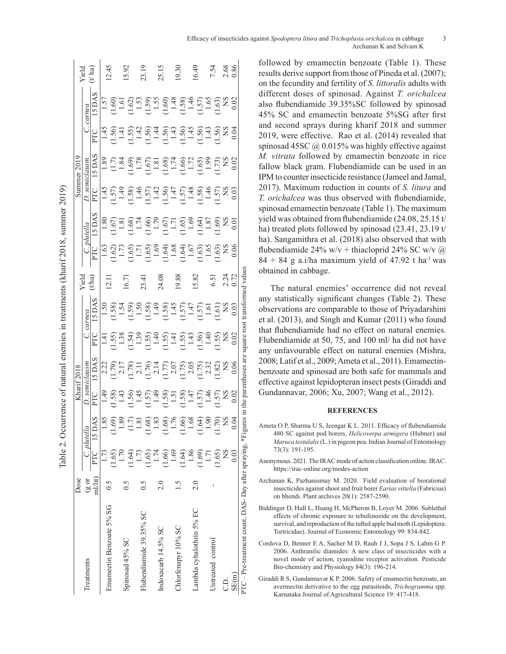Table 2. Occurrence of natural enemies in treatments (kharif 2018, summer 2019) Table 2. Occurrence of natural enemies in treatments (kharif 2018, summer 2019)

|                                                                                                                    | Dose    |        |                                                                                                               |                                                                                                                                                                                                                                                                                                                             | Kharif 2018                                  |                                                |                                                                                                                                                                                                                                                                                                                             |                       |                                        |       |                  | Summer 2019                                      |     |                                                                                                                                                                                                                                                                                                                                                                                                                                    |               |
|--------------------------------------------------------------------------------------------------------------------|---------|--------|---------------------------------------------------------------------------------------------------------------|-----------------------------------------------------------------------------------------------------------------------------------------------------------------------------------------------------------------------------------------------------------------------------------------------------------------------------|----------------------------------------------|------------------------------------------------|-----------------------------------------------------------------------------------------------------------------------------------------------------------------------------------------------------------------------------------------------------------------------------------------------------------------------------|-----------------------|----------------------------------------|-------|------------------|--------------------------------------------------|-----|------------------------------------------------------------------------------------------------------------------------------------------------------------------------------------------------------------------------------------------------------------------------------------------------------------------------------------------------------------------------------------------------------------------------------------|---------------|
| Treatments                                                                                                         | (g or   |        | C. plutella                                                                                                   |                                                                                                                                                                                                                                                                                                                             |                                              |                                                |                                                                                                                                                                                                                                                                                                                             | <i>r</i> ield<br>tha) |                                        |       | $D$ . semiclausm |                                                  |     | carnea                                                                                                                                                                                                                                                                                                                                                                                                                             | Yield $t$ ha) |
|                                                                                                                    | ml/lit) | PTC 15 | DAS                                                                                                           |                                                                                                                                                                                                                                                                                                                             | 5 DAS<br>$\frac{D.$ semiclausm<br>PTC 15 DAS | $rac{C. \text{ cumea}}{PTC}$ 15 D <sub>1</sub> | SDAS                                                                                                                                                                                                                                                                                                                        |                       | $\frac{C. \text{ pluella}}{PTC}$ 15 DA | 5 DAS | PTC              | SDAS                                             | PTC | 5 DAS                                                                                                                                                                                                                                                                                                                                                                                                                              |               |
|                                                                                                                    | 0.5     |        |                                                                                                               |                                                                                                                                                                                                                                                                                                                             |                                              |                                                |                                                                                                                                                                                                                                                                                                                             |                       |                                        |       |                  |                                                  |     |                                                                                                                                                                                                                                                                                                                                                                                                                                    |               |
| Emamectin Benzoate 5% SG                                                                                           |         | 1.65   |                                                                                                               |                                                                                                                                                                                                                                                                                                                             |                                              |                                                |                                                                                                                                                                                                                                                                                                                             | 12.11                 |                                        |       |                  |                                                  |     |                                                                                                                                                                                                                                                                                                                                                                                                                                    | 12.45         |
|                                                                                                                    |         | 1.70   |                                                                                                               |                                                                                                                                                                                                                                                                                                                             |                                              |                                                |                                                                                                                                                                                                                                                                                                                             |                       |                                        |       |                  |                                                  |     |                                                                                                                                                                                                                                                                                                                                                                                                                                    |               |
| Spinosad 45% SC                                                                                                    | 0.5     | 1.64   |                                                                                                               |                                                                                                                                                                                                                                                                                                                             |                                              |                                                |                                                                                                                                                                                                                                                                                                                             |                       |                                        |       |                  |                                                  |     |                                                                                                                                                                                                                                                                                                                                                                                                                                    | 15.92         |
|                                                                                                                    | 0.5     | 1.73   |                                                                                                               |                                                                                                                                                                                                                                                                                                                             |                                              |                                                |                                                                                                                                                                                                                                                                                                                             |                       |                                        |       |                  |                                                  |     |                                                                                                                                                                                                                                                                                                                                                                                                                                    |               |
| Flubendiamide 39.35% SC                                                                                            |         | 1.65   |                                                                                                               |                                                                                                                                                                                                                                                                                                                             |                                              |                                                |                                                                                                                                                                                                                                                                                                                             |                       |                                        |       |                  |                                                  |     |                                                                                                                                                                                                                                                                                                                                                                                                                                    | 23.19         |
|                                                                                                                    |         | 1.74   |                                                                                                               |                                                                                                                                                                                                                                                                                                                             |                                              |                                                |                                                                                                                                                                                                                                                                                                                             |                       |                                        |       |                  |                                                  |     |                                                                                                                                                                                                                                                                                                                                                                                                                                    |               |
| Indoxacarb 14.5% SC                                                                                                | 2.0     | 1.66   |                                                                                                               |                                                                                                                                                                                                                                                                                                                             |                                              |                                                |                                                                                                                                                                                                                                                                                                                             |                       |                                        |       |                  |                                                  |     |                                                                                                                                                                                                                                                                                                                                                                                                                                    | 25.15         |
|                                                                                                                    |         | 1.69   |                                                                                                               |                                                                                                                                                                                                                                                                                                                             |                                              |                                                |                                                                                                                                                                                                                                                                                                                             |                       |                                        |       |                  |                                                  |     |                                                                                                                                                                                                                                                                                                                                                                                                                                    |               |
| Chlorfenapyr 10% SC                                                                                                |         | 1.64   |                                                                                                               |                                                                                                                                                                                                                                                                                                                             |                                              |                                                |                                                                                                                                                                                                                                                                                                                             |                       |                                        |       |                  |                                                  |     |                                                                                                                                                                                                                                                                                                                                                                                                                                    | 19.30         |
|                                                                                                                    |         | 1.86   |                                                                                                               |                                                                                                                                                                                                                                                                                                                             |                                              |                                                |                                                                                                                                                                                                                                                                                                                             |                       |                                        |       |                  |                                                  |     |                                                                                                                                                                                                                                                                                                                                                                                                                                    |               |
| Lambda cyhalothrin 5% EC                                                                                           | 2.0     | 1.69   | 1869<br> - 1860 1861 1862<br> - 1862 1863 1864 1865 1864<br> - 1864 1865 1864 1865 1866 1866 1866 1866 1866 1 | $\begin{array}{l} 1.58 \\[-4pt] 1.59 \\[-4pt] 1.59 \\[-4pt] 1.59 \\[-4pt] 1.59 \\[-4pt] 1.59 \\[-4pt] 1.59 \\[-4pt] 1.59 \\[-4pt] 1.59 \\[-4pt] 1.59 \\[-4pt] 1.59 \\[-4pt] 1.59 \\[-4pt] 1.59 \\[-4pt] 1.59 \\[-4pt] 1.59 \\[-4pt] 1.59 \\[-4pt] 1.59 \\[-4pt] 1.59 \\[-4pt] 1.59 \\[-4pt] 1.59 \\[-4pt] 1.59 \\[-4pt] 1.$ |                                              |                                                | $\begin{array}{l} 1.68 \\[-4pt] 1.58 \\[-4pt] 1.59 \\[-4pt] 1.59 \\[-4pt] 1.59 \\[-4pt] 1.59 \\[-4pt] 1.59 \\[-4pt] 1.59 \\[-4pt] 1.59 \\[-4pt] 1.59 \\[-4pt] 1.59 \\[-4pt] 1.59 \\[-4pt] 1.59 \\[-4pt] 1.59 \\[-4pt] 1.59 \\[-4pt] 1.59 \\[-4pt] 1.59 \\[-4pt] 1.59 \\[-4pt] 1.59 \\[-4pt] 1.59 \\[-4pt] 1.59 \\[-4pt] 1.$ |                       |                                        |       |                  | 8<br>101868686766886868888<br>101010101010101010 |     | $\begin{array}{l} \mathbf{55} \\ \mathbf{69} \\ \mathbf{78} \\ \mathbf{89} \\ \mathbf{19} \\ \mathbf{10} \\ \mathbf{13} \\ \mathbf{14} \\ \mathbf{15} \\ \mathbf{16} \\ \mathbf{17} \\ \mathbf{18} \\ \mathbf{18} \\ \mathbf{19} \\ \mathbf{19} \\ \mathbf{18} \\ \mathbf{19} \\ \mathbf{18} \\ \mathbf{19} \\ \mathbf{19} \\ \mathbf{19} \\ \mathbf{18} \\ \mathbf{19} \\ \mathbf{19} \\ \mathbf{18} \\ \mathbf{19} \\ \mathbf{1$ | (6.49)        |
| Untreated control                                                                                                  |         | 1.71   |                                                                                                               |                                                                                                                                                                                                                                                                                                                             |                                              |                                                |                                                                                                                                                                                                                                                                                                                             |                       |                                        |       |                  |                                                  |     |                                                                                                                                                                                                                                                                                                                                                                                                                                    |               |
|                                                                                                                    |         | (1.65) |                                                                                                               |                                                                                                                                                                                                                                                                                                                             |                                              |                                                |                                                                                                                                                                                                                                                                                                                             |                       |                                        |       |                  |                                                  |     |                                                                                                                                                                                                                                                                                                                                                                                                                                    | 7.54          |
| C.D.                                                                                                               |         | SN     |                                                                                                               |                                                                                                                                                                                                                                                                                                                             |                                              |                                                |                                                                                                                                                                                                                                                                                                                             |                       |                                        |       |                  |                                                  |     |                                                                                                                                                                                                                                                                                                                                                                                                                                    | 2.68<br>0.86  |
| SE(m)                                                                                                              |         | 0.03   |                                                                                                               |                                                                                                                                                                                                                                                                                                                             |                                              |                                                |                                                                                                                                                                                                                                                                                                                             |                       |                                        |       |                  |                                                  |     |                                                                                                                                                                                                                                                                                                                                                                                                                                    |               |
| PTC – Pre-treatment count, DAS- Day after spraying, *Figures in the parentheses are square root transformed values |         |        |                                                                                                               |                                                                                                                                                                                                                                                                                                                             |                                              |                                                |                                                                                                                                                                                                                                                                                                                             |                       |                                        |       |                  |                                                  |     |                                                                                                                                                                                                                                                                                                                                                                                                                                    |               |

followed by emamectin benzoate (Table 1). These results derive support from those of Pineda et al. (2007); on the fecundity and fertility of *S. littoralis* adults with different doses of spinosad. Against *T. orichalcea*  also flubendiamide 39.35%SC followed by spinosad 45% SC and emamectin benzoate 5%SG after first and second sprays during kharif 2018 and summer 2019, were effective. Rao et al. (2014) revealed that spinosad 45SC  $\omega$  0.015% was highly effective against *M. vitrata* followed by emamectin benzoate in rice fallow black gram. Flubendiamide can be used in an IPM to counter insecticide resistance (Jameel and Jamal, 2017). Maximum reduction in counts of *S. litura* and *T. orichalcea* was thus observed with flubendiamide, spinosad emamectin benzoate (Table 1). The maximum yield was obtained from flubendiamide (24.08, 25.15 t/ ha) treated plots followed by spinosad (23.41, 23.19 t/ ha). Sangamithra et al. (2018) also observed that with flubendiamide 24% w/v + thiacloprid 24% SC w/v  $\omega$  $84 + 84$  g a.i/ha maximum yield of 47.92 t ha<sup>-1</sup> was obtained in cabbage.

The natural enemies' occurrence did not reveal any statistically significant changes (Table 2). These observations are comparable to those of Priyadarshini et al. (2013), and Singh and Kumar (2011) who found that flubendiamide had no effect on natural enemies. Flubendiamide at 50, 75, and 100 ml/ ha did not have any unfavourable effect on natural enemies (Mishra, 2008; Latif et al., 2009; Ameta et al., 2011). Emamectinbenzoate and spinosad are both safe for mammals and effective against lepidopteran insect pests (Giraddi and Gundannavar, 2006; Xu, 2007; Wang et al., 2012).

### **REFERENCES**

- Ameta O P, Sharma U S, Jeengar K L. 2011. Efficacy of flubendiamide 480 SC against pod borers, *Helicoverpa armigera* (Hubner) and *Maruca testulalis* (L.) in pigeon pea. Indian Journal of Entomology 73(3): 191-195.
- Anonymous. 2021. The IRAC mode of action classification online. IRAC. https://irac-online.org/modes-action
- Archunan K, Pazhanismay M. 2020. Field evaluation of biorational insecticides against shoot and fruit borer *Earias vittella* (Fabricius) on bhendi. Plant archives 20(1): 2587-2590.
- Biddinger D, Hull L, Huang H, McPheron B, Loyer M. 2006. Sublethal effects of chronic exposure to tebufenozide on the development, survival, and reproduction of the tufted apple bud moth (Lepidoptera: Tortricidae). Journal of Economic Entomology 99: 834-842.
- Cordova D, Benner E A, Sacher M D, Rauh J J, Sopa J S, Lahm G P. 2006. Anthranilic diamides: A new class of insecticides with a novel mode of action, ryanodine receptor activation. Pesticide Bio-chemistry and Physiology 84(3): 196-214.
- Giraddi R S, Gundannavar K P. 2006. Safety of emamectin benzoate, an avermectin derivative to the egg parasitoids, *Trichogramma* spp. Karnataka Journal of Agricultural Science 19: 417-418.